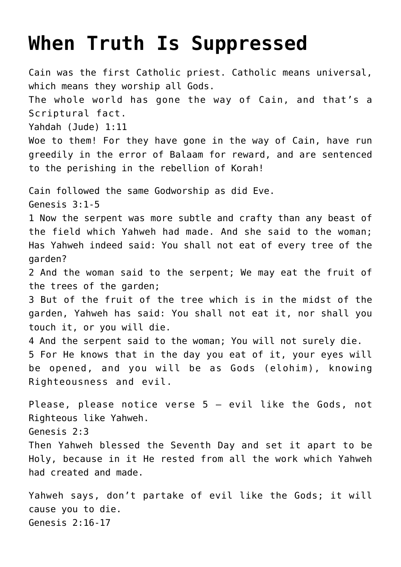## **[When Truth Is Suppressed](https://yahwehsbranch.com/when-truth-is-suppressed/)**

Cain was the first Catholic priest. Catholic means universal, which means they worship all Gods. The whole world has gone the way of Cain, and that's a Scriptural fact. Yahdah (Jude) 1:11 Woe to them! For they have gone in the way of Cain, have run greedily in the error of Balaam for reward, and are sentenced to the perishing in the rebellion of Korah! Cain followed the same Godworship as did Eve. Genesis 3:1-5 1 Now the serpent was more subtle and crafty than any beast of the field which Yahweh had made. And she said to the woman; Has Yahweh indeed said: You shall not eat of every tree of the garden? 2 And the woman said to the serpent; We may eat the fruit of the trees of the garden; 3 But of the fruit of the tree which is in the midst of the garden, Yahweh has said: You shall not eat it, nor shall you touch it, or you will die. 4 And the serpent said to the woman; You will not surely die. 5 For He knows that in the day you eat of it, your eyes will be opened, and you will be as Gods (elohim), knowing Righteousness and evil. Please, please notice verse 5 – evil like the Gods, not Righteous like Yahweh. Genesis 2:3 Then Yahweh blessed the Seventh Day and set it apart to be Holy, because in it He rested from all the work which Yahweh had created and made. Yahweh says, don't partake of evil like the Gods; it will

cause you to die.

Genesis 2:16-17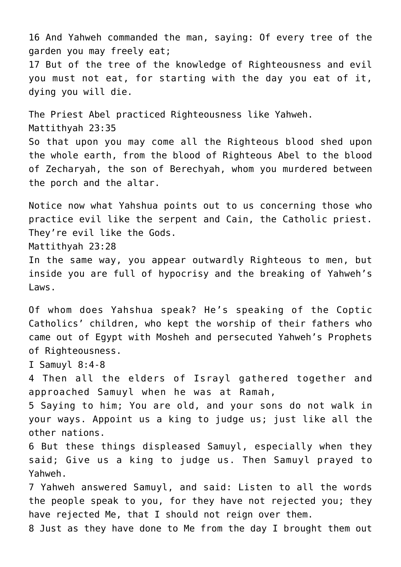16 And Yahweh commanded the man, saying: Of every tree of the garden you may freely eat; 17 But of the tree of the knowledge of Righteousness and evil you must not eat, for starting with the day you eat of it, dying you will die.

The Priest Abel practiced Righteousness like Yahweh. Mattithyah 23:35 So that upon you may come all the Righteous blood shed upon the whole earth, from the blood of Righteous Abel to the blood of Zecharyah, the son of Berechyah, whom you murdered between the porch and the altar.

Notice now what Yahshua points out to us concerning those who practice evil like the serpent and Cain, the Catholic priest. They're evil like the Gods. Mattithyah 23:28

In the same way, you appear outwardly Righteous to men, but inside you are full of hypocrisy and the breaking of Yahweh's Laws.

Of whom does Yahshua speak? He's speaking of the Coptic Catholics' children, who kept the worship of their fathers who came out of Egypt with Mosheh and persecuted Yahweh's Prophets of Righteousness.

I Samuyl 8:4-8

4 Then all the elders of Israyl gathered together and approached Samuyl when he was at Ramah,

5 Saying to him; You are old, and your sons do not walk in your ways. Appoint us a king to judge us; just like all the other nations.

6 But these things displeased Samuyl, especially when they said; Give us a king to judge us. Then Samuyl prayed to Yahweh.

7 Yahweh answered Samuyl, and said: Listen to all the words the people speak to you, for they have not rejected you; they have rejected Me, that I should not reign over them.

8 Just as they have done to Me from the day I brought them out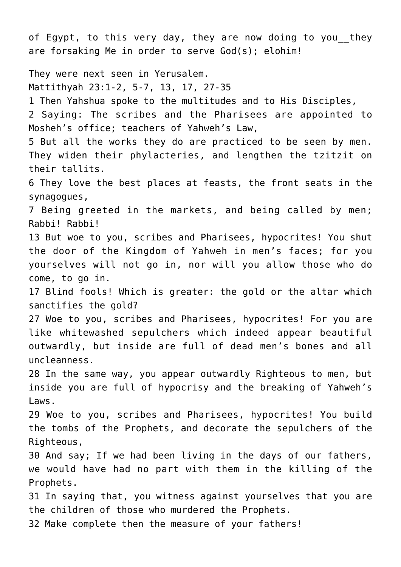of Egypt, to this very day, they are now doing to you they are forsaking Me in order to serve God(s); elohim! They were next seen in Yerusalem. Mattithyah 23:1-2, 5-7, 13, 17, 27-35 1 Then Yahshua spoke to the multitudes and to His Disciples, 2 Saying: The scribes and the Pharisees are appointed to Mosheh's office; teachers of Yahweh's Law, 5 But all the works they do are practiced to be seen by men. They widen their phylacteries, and lengthen the tzitzit on their tallits. 6 They love the best places at feasts, the front seats in the synagogues, 7 Being greeted in the markets, and being called by men; Rabbi! Rabbi! 13 But woe to you, scribes and Pharisees, hypocrites! You shut the door of the Kingdom of Yahweh in men's faces; for you yourselves will not go in, nor will you allow those who do come, to go in. 17 Blind fools! Which is greater: the gold or the altar which sanctifies the gold? 27 Woe to you, scribes and Pharisees, hypocrites! For you are like whitewashed sepulchers which indeed appear beautiful outwardly, but inside are full of dead men's bones and all uncleanness. 28 In the same way, you appear outwardly Righteous to men, but inside you are full of hypocrisy and the breaking of Yahweh's Laws. 29 Woe to you, scribes and Pharisees, hypocrites! You build the tombs of the Prophets, and decorate the sepulchers of the Righteous, 30 And say; If we had been living in the days of our fathers, we would have had no part with them in the killing of the Prophets. 31 In saying that, you witness against yourselves that you are the children of those who murdered the Prophets. 32 Make complete then the measure of your fathers!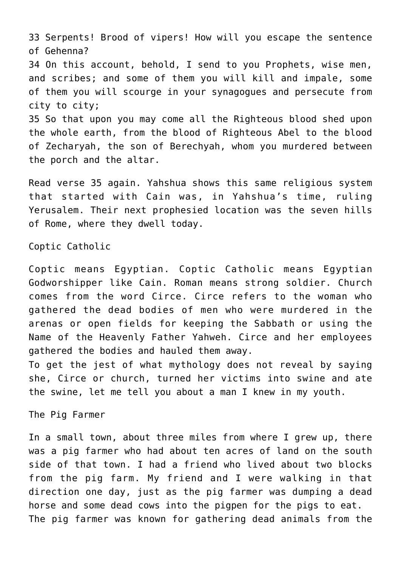33 Serpents! Brood of vipers! How will you escape the sentence of Gehenna? 34 On this account, behold, I send to you Prophets, wise men, and scribes; and some of them you will kill and impale, some of them you will scourge in your synagogues and persecute from city to city; 35 So that upon you may come all the Righteous blood shed upon the whole earth, from the blood of Righteous Abel to the blood of Zecharyah, the son of Berechyah, whom you murdered between the porch and the altar.

Read verse 35 again. Yahshua shows this same religious system that started with Cain was, in Yahshua's time, ruling Yerusalem. Their next prophesied location was the seven hills of Rome, where they dwell today.

Coptic Catholic

Coptic means Egyptian. Coptic Catholic means Egyptian Godworshipper like Cain. Roman means strong soldier. Church comes from the word Circe. Circe refers to the woman who gathered the dead bodies of men who were murdered in the arenas or open fields for keeping the Sabbath or using the Name of the Heavenly Father Yahweh. Circe and her employees gathered the bodies and hauled them away.

To get the jest of what mythology does not reveal by saying she, Circe or church, turned her victims into swine and ate the swine, let me tell you about a man I knew in my youth.

The Pig Farmer

In a small town, about three miles from where I grew up, there was a pig farmer who had about ten acres of land on the south side of that town. I had a friend who lived about two blocks from the pig farm. My friend and I were walking in that direction one day, just as the pig farmer was dumping a dead horse and some dead cows into the pigpen for the pigs to eat. The pig farmer was known for gathering dead animals from the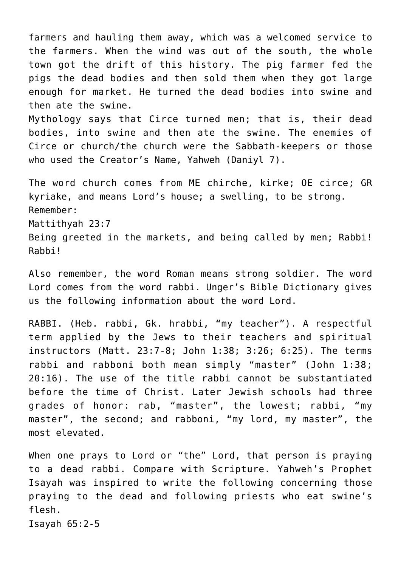farmers and hauling them away, which was a welcomed service to the farmers. When the wind was out of the south, the whole town got the drift of this history. The pig farmer fed the pigs the dead bodies and then sold them when they got large enough for market. He turned the dead bodies into swine and then ate the swine.

Mythology says that Circe turned men; that is, their dead bodies, into swine and then ate the swine. The enemies of Circe or church/the church were the Sabbath-keepers or those who used the Creator's Name, Yahweh (Daniyl 7).

The word church comes from ME chirche, kirke; OE circe; GR kyriake, and means Lord's house; a swelling, to be strong. Remember: Mattithyah 23:7 Being greeted in the markets, and being called by men; Rabbi! Rabbi!

Also remember, the word Roman means strong soldier. The word Lord comes from the word rabbi. Unger's Bible Dictionary gives us the following information about the word Lord.

RABBI. (Heb. rabbi, Gk. hrabbi, "my teacher"). A respectful term applied by the Jews to their teachers and spiritual instructors (Matt. 23:7-8; John 1:38; 3:26; 6:25). The terms rabbi and rabboni both mean simply "master" (John 1:38; 20:16). The use of the title rabbi cannot be substantiated before the time of Christ. Later Jewish schools had three grades of honor: rab, "master", the lowest; rabbi, "my master", the second; and rabboni, "my lord, my master", the most elevated.

When one prays to Lord or "the" Lord, that person is praying to a dead rabbi. Compare with Scripture. Yahweh's Prophet Isayah was inspired to write the following concerning those praying to the dead and following priests who eat swine's flesh. Isayah 65:2-5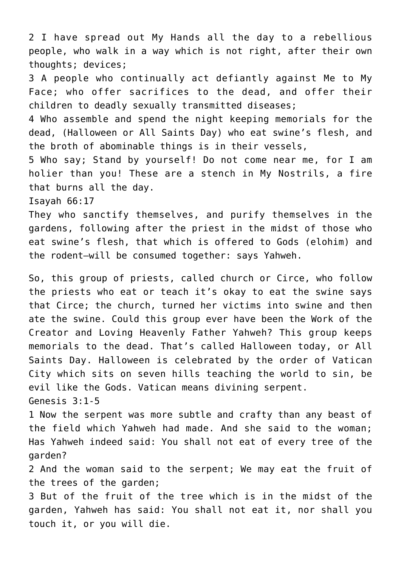2 I have spread out My Hands all the day to a rebellious people, who walk in a way which is not right, after their own thoughts; devices;

3 A people who continually act defiantly against Me to My Face; who offer sacrifices to the dead, and offer their children to deadly sexually transmitted diseases;

4 Who assemble and spend the night keeping memorials for the dead, (Halloween or All Saints Day) who eat swine's flesh, and the broth of abominable things is in their vessels,

5 Who say; Stand by yourself! Do not come near me, for I am holier than you! These are a stench in My Nostrils, a fire that burns all the day.

Isayah 66:17

They who sanctify themselves, and purify themselves in the gardens, following after the priest in the midst of those who eat swine's flesh, that which is offered to Gods (elohim) and the rodent—will be consumed together: says Yahweh.

So, this group of priests, called church or Circe, who follow the priests who eat or teach it's okay to eat the swine says that Circe; the church, turned her victims into swine and then ate the swine. Could this group ever have been the Work of the Creator and Loving Heavenly Father Yahweh? This group keeps memorials to the dead. That's called Halloween today, or All Saints Day. Halloween is celebrated by the order of Vatican City which sits on seven hills teaching the world to sin, be evil like the Gods. Vatican means divining serpent. Genesis 3:1-5

1 Now the serpent was more subtle and crafty than any beast of the field which Yahweh had made. And she said to the woman; Has Yahweh indeed said: You shall not eat of every tree of the garden?

2 And the woman said to the serpent; We may eat the fruit of the trees of the garden;

3 But of the fruit of the tree which is in the midst of the garden, Yahweh has said: You shall not eat it, nor shall you touch it, or you will die.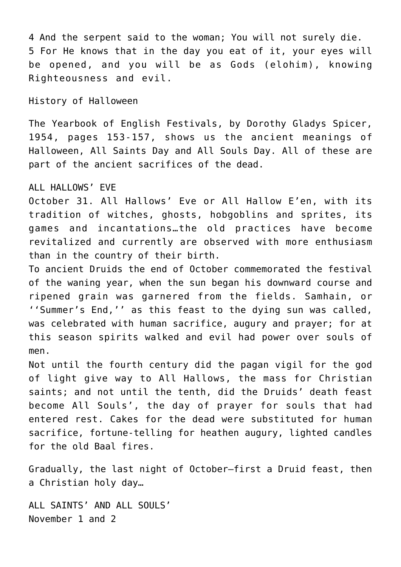4 And the serpent said to the woman; You will not surely die. 5 For He knows that in the day you eat of it, your eyes will be opened, and you will be as Gods (elohim), knowing Righteousness and evil.

History of Halloween

The Yearbook of English Festivals, by Dorothy Gladys Spicer, 1954, pages 153-157, shows us the ancient meanings of Halloween, All Saints Day and All Souls Day. All of these are part of the ancient sacrifices of the dead.

## ALL HALLOWS' EVE

October 31. All Hallows' Eve or All Hallow E'en, with its tradition of witches, ghosts, hobgoblins and sprites, its games and incantations…the old practices have become revitalized and currently are observed with more enthusiasm than in the country of their birth.

To ancient Druids the end of October commemorated the festival of the waning year, when the sun began his downward course and ripened grain was garnered from the fields. Samhain, or ''Summer's End,'' as this feast to the dying sun was called, was celebrated with human sacrifice, augury and prayer; for at this season spirits walked and evil had power over souls of men.

Not until the fourth century did the pagan vigil for the god of light give way to All Hallows, the mass for Christian saints; and not until the tenth, did the Druids' death feast become All Souls', the day of prayer for souls that had entered rest. Cakes for the dead were substituted for human sacrifice, fortune-telling for heathen augury, lighted candles for the old Baal fires.

Gradually, the last night of October–first a Druid feast, then a Christian holy day…

ALL SAINTS' AND ALL SOULS' November 1 and 2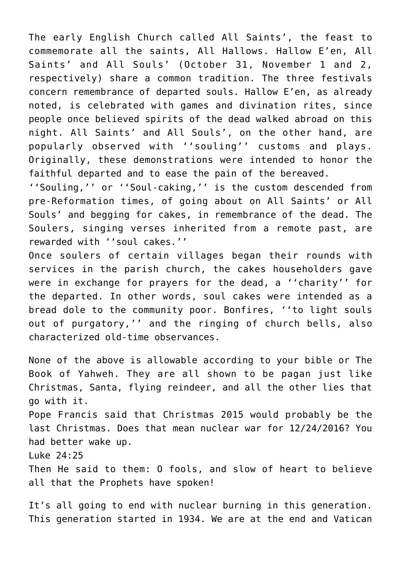The early English Church called All Saints', the feast to commemorate all the saints, All Hallows. Hallow E'en, All Saints' and All Souls' (October 31, November 1 and 2, respectively) share a common tradition. The three festivals concern remembrance of departed souls. Hallow E'en, as already noted, is celebrated with games and divination rites, since people once believed spirits of the dead walked abroad on this night. All Saints' and All Souls', on the other hand, are popularly observed with ''souling'' customs and plays. Originally, these demonstrations were intended to honor the faithful departed and to ease the pain of the bereaved.

''Souling,'' or ''Soul-caking,'' is the custom descended from pre-Reformation times, of going about on All Saints' or All Souls' and begging for cakes, in remembrance of the dead. The Soulers, singing verses inherited from a remote past, are rewarded with ''soul cakes.''

Once soulers of certain villages began their rounds with services in the parish church, the cakes householders gave were in exchange for prayers for the dead, a ''charity'' for the departed. In other words, soul cakes were intended as a bread dole to the community poor. Bonfires, ''to light souls out of purgatory,'' and the ringing of church bells, also characterized old-time observances.

None of the above is allowable according to your bible or The Book of Yahweh. They are all shown to be pagan just like Christmas, Santa, flying reindeer, and all the other lies that go with it. Pope Francis said that Christmas 2015 would probably be the last Christmas. Does that mean nuclear war for 12/24/2016? You had better wake up. Luke 24:25 Then He said to them: O fools, and slow of heart to believe all that the Prophets have spoken!

It's all going to end with nuclear burning in this generation. This generation started in 1934. We are at the end and Vatican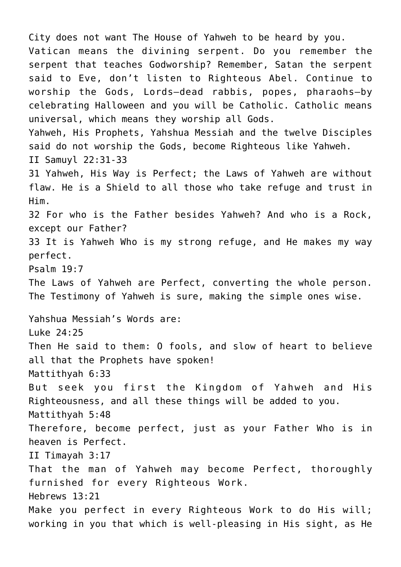City does not want The House of Yahweh to be heard by you. Vatican means the divining serpent. Do you remember the serpent that teaches Godworship? Remember, Satan the serpent said to Eve, don't listen to Righteous Abel. Continue to worship the Gods, Lords–dead rabbis, popes, pharaohs–by celebrating Halloween and you will be Catholic. Catholic means universal, which means they worship all Gods. Yahweh, His Prophets, Yahshua Messiah and the twelve Disciples said do not worship the Gods, become Righteous like Yahweh. II Samuyl 22:31-33 31 Yahweh, His Way is Perfect; the Laws of Yahweh are without flaw. He is a Shield to all those who take refuge and trust in Him. 32 For who is the Father besides Yahweh? And who is a Rock, except our Father? 33 It is Yahweh Who is my strong refuge, and He makes my way perfect. Psalm 19:7 The Laws of Yahweh are Perfect, converting the whole person. The Testimony of Yahweh is sure, making the simple ones wise. Yahshua Messiah's Words are: Luke 24:25 Then He said to them: O fools, and slow of heart to believe all that the Prophets have spoken! Mattithyah 6:33 But seek you first the Kingdom of Yahweh and His Righteousness, and all these things will be added to you. Mattithyah 5:48 Therefore, become perfect, just as your Father Who is in heaven is Perfect. II Timayah 3:17 That the man of Yahweh may become Perfect, thoroughly furnished for every Righteous Work. Hebrews 13:21 Make you perfect in every Righteous Work to do His will; working in you that which is well-pleasing in His sight, as He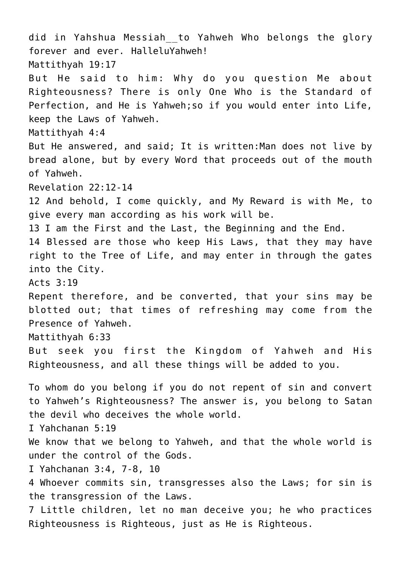did in Yahshua Messiah to Yahweh Who belongs the glory forever and ever. HalleluYahweh! Mattithyah 19:17 But He said to him: Why do you question Me about Righteousness? There is only One Who is the Standard of Perfection, and He is Yahweh;so if you would enter into Life, keep the Laws of Yahweh. Mattithyah 4:4 But He answered, and said; It is written:Man does not live by bread alone, but by every Word that proceeds out of the mouth of Yahweh. Revelation 22:12-14 12 And behold, I come quickly, and My Reward is with Me, to give every man according as his work will be. 13 I am the First and the Last, the Beginning and the End. 14 Blessed are those who keep His Laws, that they may have right to the Tree of Life, and may enter in through the gates into the City. Acts 3:19 Repent therefore, and be converted, that your sins may be blotted out; that times of refreshing may come from the Presence of Yahweh. Mattithyah 6:33 But seek you first the Kingdom of Yahweh and His Righteousness, and all these things will be added to you. To whom do you belong if you do not repent of sin and convert to Yahweh's Righteousness? The answer is, you belong to Satan the devil who deceives the whole world. I Yahchanan 5:19 We know that we belong to Yahweh, and that the whole world is under the control of the Gods. I Yahchanan 3:4, 7-8, 10 4 Whoever commits sin, transgresses also the Laws; for sin is the transgression of the Laws. 7 Little children, let no man deceive you; he who practices Righteousness is Righteous, just as He is Righteous.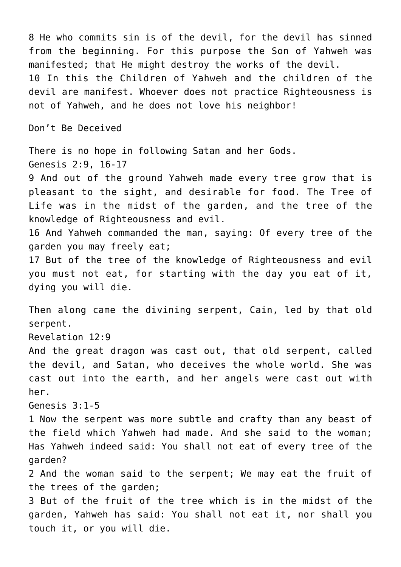8 He who commits sin is of the devil, for the devil has sinned from the beginning. For this purpose the Son of Yahweh was manifested; that He might destroy the works of the devil. 10 In this the Children of Yahweh and the children of the devil are manifest. Whoever does not practice Righteousness is not of Yahweh, and he does not love his neighbor! Don't Be Deceived There is no hope in following Satan and her Gods. Genesis 2:9, 16-17 9 And out of the ground Yahweh made every tree grow that is pleasant to the sight, and desirable for food. The Tree of Life was in the midst of the garden, and the tree of the knowledge of Righteousness and evil. 16 And Yahweh commanded the man, saying: Of every tree of the garden you may freely eat; 17 But of the tree of the knowledge of Righteousness and evil you must not eat, for starting with the day you eat of it, dying you will die. Then along came the divining serpent, Cain, led by that old serpent. Revelation 12:9 And the great dragon was cast out, that old serpent, called the devil, and Satan, who deceives the whole world. She was cast out into the earth, and her angels were cast out with her. Genesis 3:1-5 1 Now the serpent was more subtle and crafty than any beast of the field which Yahweh had made. And she said to the woman; Has Yahweh indeed said: You shall not eat of every tree of the garden? 2 And the woman said to the serpent; We may eat the fruit of the trees of the garden; 3 But of the fruit of the tree which is in the midst of the garden, Yahweh has said: You shall not eat it, nor shall you touch it, or you will die.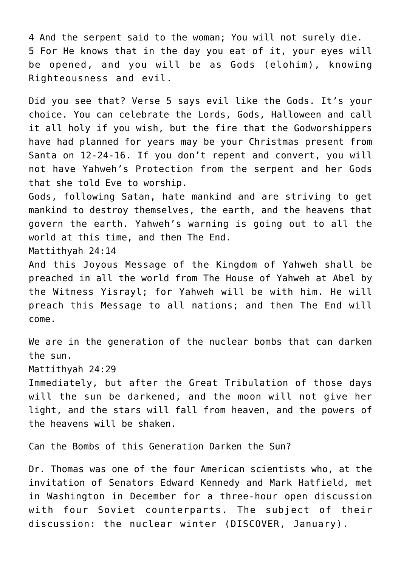4 And the serpent said to the woman; You will not surely die. 5 For He knows that in the day you eat of it, your eyes will be opened, and you will be as Gods (elohim), knowing Righteousness and evil.

Did you see that? Verse 5 says evil like the Gods. It's your choice. You can celebrate the Lords, Gods, Halloween and call it all holy if you wish, but the fire that the Godworshippers have had planned for years may be your Christmas present from Santa on 12-24-16. If you don't repent and convert, you will not have Yahweh's Protection from the serpent and her Gods that she told Eve to worship.

Gods, following Satan, hate mankind and are striving to get mankind to destroy themselves, the earth, and the heavens that govern the earth. Yahweh's warning is going out to all the world at this time, and then The End.

Mattithyah 24:14

And this Joyous Message of the Kingdom of Yahweh shall be preached in all the world from The House of Yahweh at Abel by the Witness Yisrayl; for Yahweh will be with him. He will preach this Message to all nations; and then The End will come.

We are in the generation of the nuclear bombs that can darken the sun.

Mattithyah 24:29

Immediately, but after the Great Tribulation of those days will the sun be darkened, and the moon will not give her light, and the stars will fall from heaven, and the powers of the heavens will be shaken.

Can the Bombs of this Generation Darken the Sun?

Dr. Thomas was one of the four American scientists who, at the invitation of Senators Edward Kennedy and Mark Hatfield, met in Washington in December for a three-hour open discussion with four Soviet counterparts. The subject of their discussion: the nuclear winter (DISCOVER, January).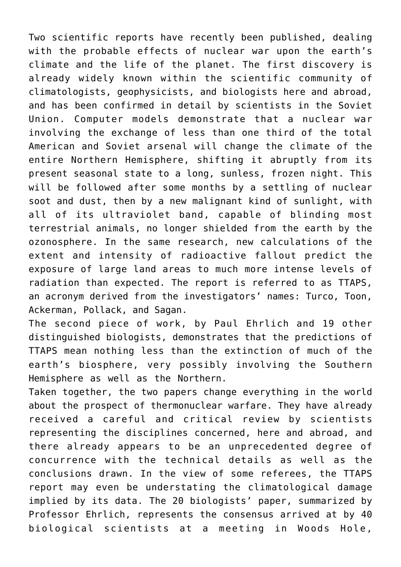Two scientific reports have recently been published, dealing with the probable effects of nuclear war upon the earth's climate and the life of the planet. The first discovery is already widely known within the scientific community of climatologists, geophysicists, and biologists here and abroad, and has been confirmed in detail by scientists in the Soviet Union. Computer models demonstrate that a nuclear war involving the exchange of less than one third of the total American and Soviet arsenal will change the climate of the entire Northern Hemisphere, shifting it abruptly from its present seasonal state to a long, sunless, frozen night. This will be followed after some months by a settling of nuclear soot and dust, then by a new malignant kind of sunlight, with all of its ultraviolet band, capable of blinding most terrestrial animals, no longer shielded from the earth by the ozonosphere. In the same research, new calculations of the extent and intensity of radioactive fallout predict the exposure of large land areas to much more intense levels of radiation than expected. The report is referred to as TTAPS, an acronym derived from the investigators' names: Turco, Toon, Ackerman, Pollack, and Sagan.

The second piece of work, by Paul Ehrlich and 19 other distinguished biologists, demonstrates that the predictions of TTAPS mean nothing less than the extinction of much of the earth's biosphere, very possibly involving the Southern Hemisphere as well as the Northern.

Taken together, the two papers change everything in the world about the prospect of thermonuclear warfare. They have already received a careful and critical review by scientists representing the disciplines concerned, here and abroad, and there already appears to be an unprecedented degree of concurrence with the technical details as well as the conclusions drawn. In the view of some referees, the TTAPS report may even be understating the climatological damage implied by its data. The 20 biologists' paper, summarized by Professor Ehrlich, represents the consensus arrived at by 40 biological scientists at a meeting in Woods Hole,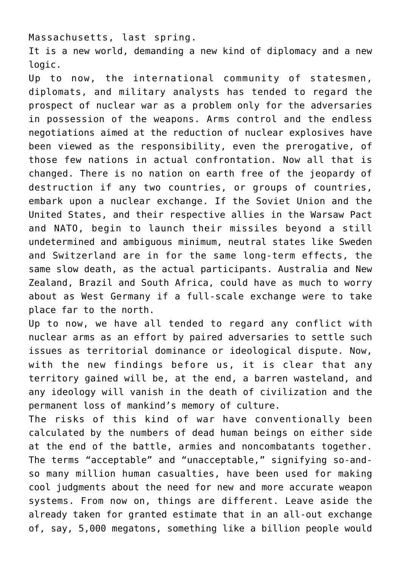Massachusetts, last spring.

It is a new world, demanding a new kind of diplomacy and a new logic.

Up to now, the international community of statesmen, diplomats, and military analysts has tended to regard the prospect of nuclear war as a problem only for the adversaries in possession of the weapons. Arms control and the endless negotiations aimed at the reduction of nuclear explosives have been viewed as the responsibility, even the prerogative, of those few nations in actual confrontation. Now all that is changed. There is no nation on earth free of the jeopardy of destruction if any two countries, or groups of countries, embark upon a nuclear exchange. If the Soviet Union and the United States, and their respective allies in the Warsaw Pact and NATO, begin to launch their missiles beyond a still undetermined and ambiguous minimum, neutral states like Sweden and Switzerland are in for the same long-term effects, the same slow death, as the actual participants. Australia and New Zealand, Brazil and South Africa, could have as much to worry about as West Germany if a full-scale exchange were to take place far to the north.

Up to now, we have all tended to regard any conflict with nuclear arms as an effort by paired adversaries to settle such issues as territorial dominance or ideological dispute. Now, with the new findings before us, it is clear that any territory gained will be, at the end, a barren wasteland, and any ideology will vanish in the death of civilization and the permanent loss of mankind's memory of culture.

The risks of this kind of war have conventionally been calculated by the numbers of dead human beings on either side at the end of the battle, armies and noncombatants together. The terms "acceptable" and "unacceptable," signifying so-andso many million human casualties, have been used for making cool judgments about the need for new and more accurate weapon systems. From now on, things are different. Leave aside the already taken for granted estimate that in an all-out exchange of, say, 5,000 megatons, something like a billion people would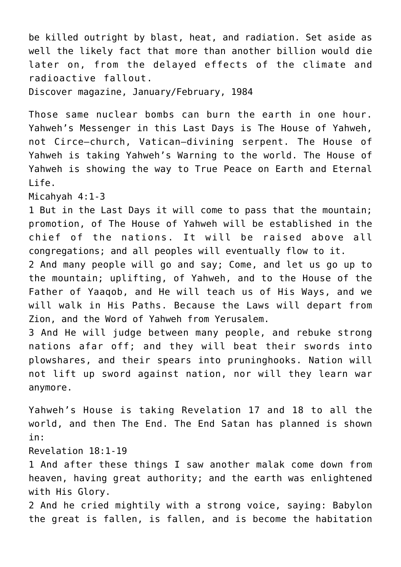be killed outright by blast, heat, and radiation. Set aside as well the likely fact that more than another billion would die later on, from the delayed effects of the climate and radioactive fallout.

Discover magazine, January/February, 1984

Those same nuclear bombs can burn the earth in one hour. Yahweh's Messenger in this Last Days is The House of Yahweh, not Circe–church, Vatican–divining serpent. The House of Yahweh is taking Yahweh's Warning to the world. The House of Yahweh is showing the way to True Peace on Earth and Eternal Life.

Micahyah 4:1-3

1 But in the Last Days it will come to pass that the mountain; promotion, of The House of Yahweh will be established in the chief of the nations. It will be raised above all congregations; and all peoples will eventually flow to it.

2 And many people will go and say; Come, and let us go up to the mountain; uplifting, of Yahweh, and to the House of the Father of Yaaqob, and He will teach us of His Ways, and we will walk in His Paths. Because the Laws will depart from Zion, and the Word of Yahweh from Yerusalem.

3 And He will judge between many people, and rebuke strong nations afar off; and they will beat their swords into plowshares, and their spears into pruninghooks. Nation will not lift up sword against nation, nor will they learn war anymore.

Yahweh's House is taking Revelation 17 and 18 to all the world, and then The End. The End Satan has planned is shown in:

Revelation 18:1-19

1 And after these things I saw another malak come down from heaven, having great authority; and the earth was enlightened with His Glory.

2 And he cried mightily with a strong voice, saying: Babylon the great is fallen, is fallen, and is become the habitation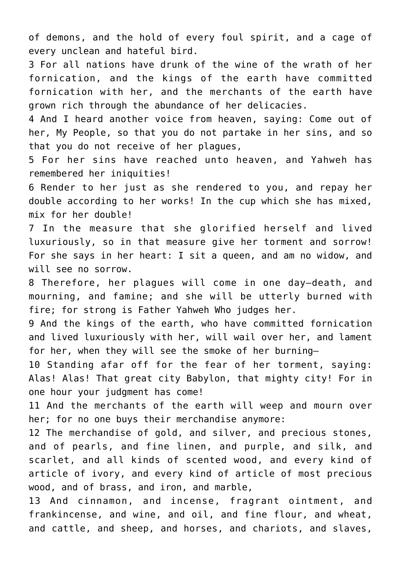of demons, and the hold of every foul spirit, and a cage of every unclean and hateful bird.

3 For all nations have drunk of the wine of the wrath of her fornication, and the kings of the earth have committed fornication with her, and the merchants of the earth have grown rich through the abundance of her delicacies.

4 And I heard another voice from heaven, saying: Come out of her, My People, so that you do not partake in her sins, and so that you do not receive of her plagues,

5 For her sins have reached unto heaven, and Yahweh has remembered her iniquities!

6 Render to her just as she rendered to you, and repay her double according to her works! In the cup which she has mixed, mix for her double!

7 In the measure that she glorified herself and lived luxuriously, so in that measure give her torment and sorrow! For she says in her heart: I sit a queen, and am no widow, and will see no sorrow.

8 Therefore, her plagues will come in one day—death, and mourning, and famine; and she will be utterly burned with fire; for strong is Father Yahweh Who judges her.

9 And the kings of the earth, who have committed fornication and lived luxuriously with her, will wail over her, and lament for her, when they will see the smoke of her burning—

10 Standing afar off for the fear of her torment, saying: Alas! Alas! That great city Babylon, that mighty city! For in one hour your judgment has come!

11 And the merchants of the earth will weep and mourn over her; for no one buys their merchandise anymore:

12 The merchandise of gold, and silver, and precious stones, and of pearls, and fine linen, and purple, and silk, and scarlet, and all kinds of scented wood, and every kind of article of ivory, and every kind of article of most precious wood, and of brass, and iron, and marble,

13 And cinnamon, and incense, fragrant ointment, and frankincense, and wine, and oil, and fine flour, and wheat, and cattle, and sheep, and horses, and chariots, and slaves,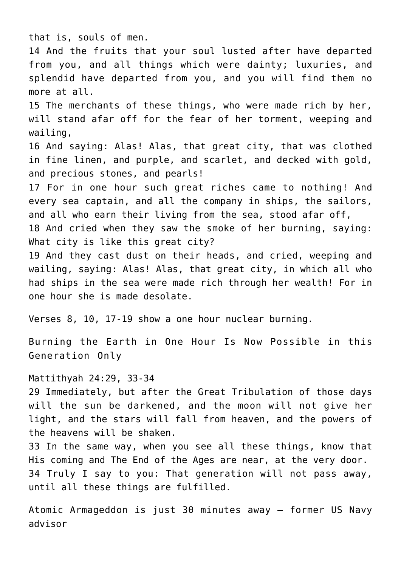that is, souls of men.

14 And the fruits that your soul lusted after have departed from you, and all things which were dainty; luxuries, and splendid have departed from you, and you will find them no more at all.

15 The merchants of these things, who were made rich by her, will stand afar off for the fear of her torment, weeping and wailing,

16 And saying: Alas! Alas, that great city, that was clothed in fine linen, and purple, and scarlet, and decked with gold, and precious stones, and pearls!

17 For in one hour such great riches came to nothing! And every sea captain, and all the company in ships, the sailors, and all who earn their living from the sea, stood afar off,

18 And cried when they saw the smoke of her burning, saying: What city is like this great city?

19 And they cast dust on their heads, and cried, weeping and wailing, saying: Alas! Alas, that great city, in which all who had ships in the sea were made rich through her wealth! For in one hour she is made desolate.

Verses 8, 10, 17-19 show a one hour nuclear burning.

Burning the Earth in One Hour Is Now Possible in this Generation Only

## Mattithyah 24:29, 33-34

29 Immediately, but after the Great Tribulation of those days will the sun be darkened, and the moon will not give her light, and the stars will fall from heaven, and the powers of the heavens will be shaken.

33 In the same way, when you see all these things, know that His coming and The End of the Ages are near, at the very door. 34 Truly I say to you: That generation will not pass away, until all these things are fulfilled.

Atomic Armageddon is just 30 minutes away – former US Navy advisor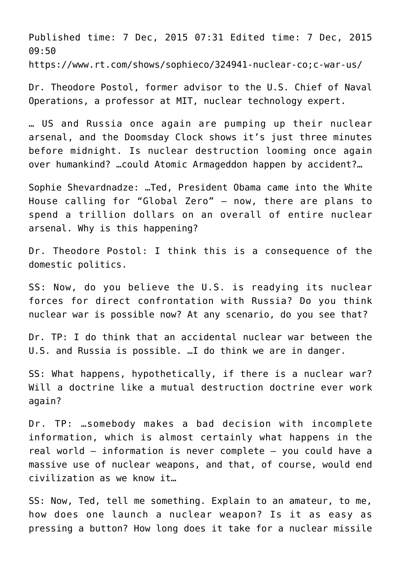Published time: 7 Dec, 2015 07:31 Edited time: 7 Dec, 2015 09:50 https://www.rt.com/shows/sophieco/324941-nuclear-co;c-war-us/

Dr. Theodore Postol, former advisor to the U.S. Chief of Naval Operations, a professor at MIT, nuclear technology expert.

… US and Russia once again are pumping up their nuclear arsenal, and the Doomsday Clock shows it's just three minutes before midnight. Is nuclear destruction looming once again over humankind? …could Atomic Armageddon happen by accident?…

Sophie Shevardnadze: …Ted, President Obama came into the White House calling for "Global Zero" – now, there are plans to spend a trillion dollars on an overall of entire nuclear arsenal. Why is this happening?

Dr. Theodore Postol: I think this is a consequence of the domestic politics.

SS: Now, do you believe the U.S. is readying its nuclear forces for direct confrontation with Russia? Do you think nuclear war is possible now? At any scenario, do you see that?

Dr. TP: I do think that an accidental nuclear war between the U.S. and Russia is possible. …I do think we are in danger.

SS: What happens, hypothetically, if there is a nuclear war? Will a doctrine like a mutual destruction doctrine ever work again?

Dr. TP: …somebody makes a bad decision with incomplete information, which is almost certainly what happens in the real world – information is never complete – you could have a massive use of nuclear weapons, and that, of course, would end civilization as we know it…

SS: Now, Ted, tell me something. Explain to an amateur, to me, how does one launch a nuclear weapon? Is it as easy as pressing a button? How long does it take for a nuclear missile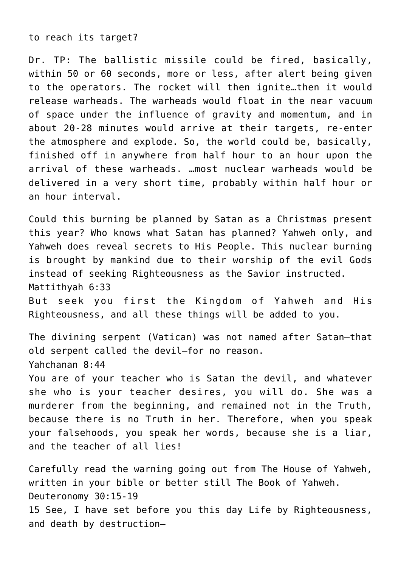to reach its target?

Dr. TP: The ballistic missile could be fired, basically, within 50 or 60 seconds, more or less, after alert being given to the operators. The rocket will then ignite…then it would release warheads. The warheads would float in the near vacuum of space under the influence of gravity and momentum, and in about 20-28 minutes would arrive at their targets, re-enter the atmosphere and explode. So, the world could be, basically, finished off in anywhere from half hour to an hour upon the arrival of these warheads. …most nuclear warheads would be delivered in a very short time, probably within half hour or an hour interval.

Could this burning be planned by Satan as a Christmas present this year? Who knows what Satan has planned? Yahweh only, and Yahweh does reveal secrets to His People. This nuclear burning is brought by mankind due to their worship of the evil Gods instead of seeking Righteousness as the Savior instructed. Mattithyah 6:33 But seek you first the Kingdom of Yahweh and His Righteousness, and all these things will be added to you.

The divining serpent (Vatican) was not named after Satan–that old serpent called the devil–for no reason. Yahchanan 8:44 You are of your teacher who is Satan the devil, and whatever she who is your teacher desires, you will do. She was a murderer from the beginning, and remained not in the Truth, because there is no Truth in her. Therefore, when you speak your falsehoods, you speak her words, because she is a liar, and the teacher of all lies!

Carefully read the warning going out from The House of Yahweh, written in your bible or better still The Book of Yahweh. Deuteronomy 30:15-19 15 See, I have set before you this day Life by Righteousness, and death by destruction—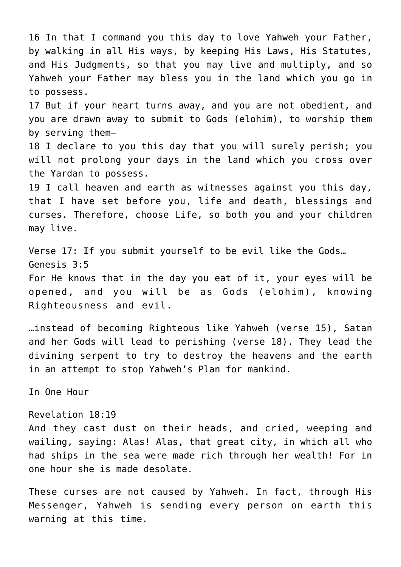16 In that I command you this day to love Yahweh your Father, by walking in all His ways, by keeping His Laws, His Statutes, and His Judgments, so that you may live and multiply, and so Yahweh your Father may bless you in the land which you go in to possess.

17 But if your heart turns away, and you are not obedient, and you are drawn away to submit to Gods (elohim), to worship them by serving them—

18 I declare to you this day that you will surely perish; you will not prolong your days in the land which you cross over the Yardan to possess.

19 I call heaven and earth as witnesses against you this day, that I have set before you, life and death, blessings and curses. Therefore, choose Life, so both you and your children may live.

Verse 17: If you submit yourself to be evil like the Gods… Genesis 3:5 For He knows that in the day you eat of it, your eyes will be opened, and you will be as Gods (elohim), knowing Righteousness and evil.

…instead of becoming Righteous like Yahweh (verse 15), Satan and her Gods will lead to perishing (verse 18). They lead the divining serpent to try to destroy the heavens and the earth in an attempt to stop Yahweh's Plan for mankind.

In One Hour

## Revelation 18:19

And they cast dust on their heads, and cried, weeping and wailing, saying: Alas! Alas, that great city, in which all who had ships in the sea were made rich through her wealth! For in one hour she is made desolate.

These curses are not caused by Yahweh. In fact, through His Messenger, Yahweh is sending every person on earth this warning at this time.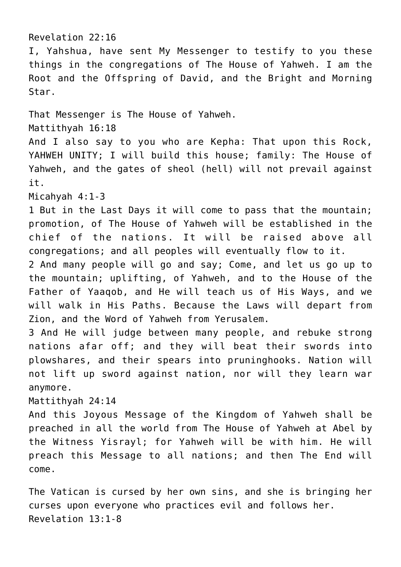Revelation 22:16 I, Yahshua, have sent My Messenger to testify to you these things in the congregations of The House of Yahweh. I am the Root and the Offspring of David, and the Bright and Morning Star. That Messenger is The House of Yahweh. Mattithyah 16:18 And I also say to you who are Kepha: That upon this Rock, YAHWEH UNITY; I will build this house; family: The House of Yahweh, and the gates of sheol (hell) will not prevail against it. Micahyah 4:1-3 1 But in the Last Days it will come to pass that the mountain; promotion, of The House of Yahweh will be established in the chief of the nations. It will be raised above all congregations; and all peoples will eventually flow to it. 2 And many people will go and say; Come, and let us go up to the mountain; uplifting, of Yahweh, and to the House of the Father of Yaaqob, and He will teach us of His Ways, and we will walk in His Paths. Because the Laws will depart from Zion, and the Word of Yahweh from Yerusalem. 3 And He will judge between many people, and rebuke strong nations afar off; and they will beat their swords into plowshares, and their spears into pruninghooks. Nation will not lift up sword against nation, nor will they learn war anymore. Mattithyah 24:14 And this Joyous Message of the Kingdom of Yahweh shall be preached in all the world from The House of Yahweh at Abel by the Witness Yisrayl; for Yahweh will be with him. He will preach this Message to all nations; and then The End will come. The Vatican is cursed by her own sins, and she is bringing her

curses upon everyone who practices evil and follows her.

Revelation 13:1-8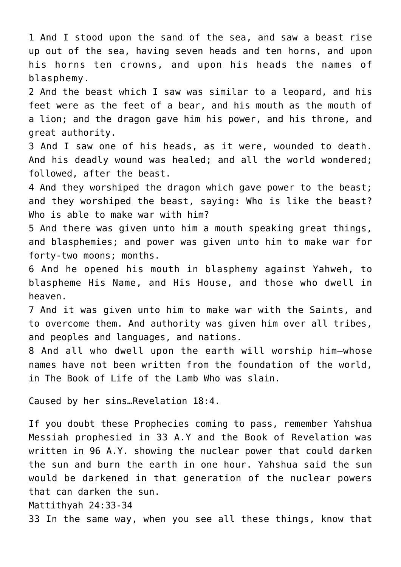1 And I stood upon the sand of the sea, and saw a beast rise up out of the sea, having seven heads and ten horns, and upon his horns ten crowns, and upon his heads the names of blasphemy.

2 And the beast which I saw was similar to a leopard, and his feet were as the feet of a bear, and his mouth as the mouth of a lion; and the dragon gave him his power, and his throne, and great authority.

3 And I saw one of his heads, as it were, wounded to death. And his deadly wound was healed; and all the world wondered; followed, after the beast.

4 And they worshiped the dragon which gave power to the beast; and they worshiped the beast, saying: Who is like the beast? Who is able to make war with him?

5 And there was given unto him a mouth speaking great things, and blasphemies; and power was given unto him to make war for forty-two moons; months.

6 And he opened his mouth in blasphemy against Yahweh, to blaspheme His Name, and His House, and those who dwell in heaven.

7 And it was given unto him to make war with the Saints, and to overcome them. And authority was given him over all tribes, and peoples and languages, and nations.

8 And all who dwell upon the earth will worship him—whose names have not been written from the foundation of the world, in The Book of Life of the Lamb Who was slain.

Caused by her sins…Revelation 18:4.

If you doubt these Prophecies coming to pass, remember Yahshua Messiah prophesied in 33 A.Y and the Book of Revelation was written in 96 A.Y. showing the nuclear power that could darken the sun and burn the earth in one hour. Yahshua said the sun would be darkened in that generation of the nuclear powers that can darken the sun.

Mattithyah 24:33-34

33 In the same way, when you see all these things, know that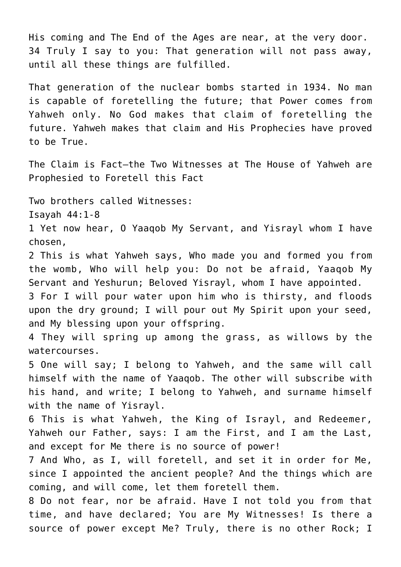His coming and The End of the Ages are near, at the very door. 34 Truly I say to you: That generation will not pass away, until all these things are fulfilled.

That generation of the nuclear bombs started in 1934. No man is capable of foretelling the future; that Power comes from Yahweh only. No God makes that claim of foretelling the future. Yahweh makes that claim and His Prophecies have proved to be True.

The Claim is Fact—the Two Witnesses at The House of Yahweh are Prophesied to Foretell this Fact

Two brothers called Witnesses:

Isayah 44:1-8

1 Yet now hear, O Yaaqob My Servant, and Yisrayl whom I have chosen,

2 This is what Yahweh says, Who made you and formed you from the womb, Who will help you: Do not be afraid, Yaaqob My Servant and Yeshurun; Beloved Yisrayl, whom I have appointed.

3 For I will pour water upon him who is thirsty, and floods upon the dry ground; I will pour out My Spirit upon your seed, and My blessing upon your offspring.

4 They will spring up among the grass, as willows by the watercourses.

5 One will say; I belong to Yahweh, and the same will call himself with the name of Yaaqob. The other will subscribe with his hand, and write; I belong to Yahweh, and surname himself with the name of Yisrayl.

6 This is what Yahweh, the King of Israyl, and Redeemer, Yahweh our Father, says: I am the First, and I am the Last, and except for Me there is no source of power!

7 And Who, as I, will foretell, and set it in order for Me, since I appointed the ancient people? And the things which are coming, and will come, let them foretell them.

8 Do not fear, nor be afraid. Have I not told you from that time, and have declared; You are My Witnesses! Is there a source of power except Me? Truly, there is no other Rock; I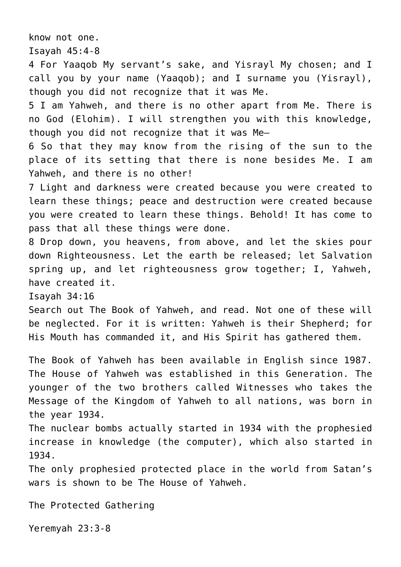know not one.

Isayah 45:4-8

4 For Yaaqob My servant's sake, and Yisrayl My chosen; and I call you by your name (Yaaqob); and I surname you (Yisrayl), though you did not recognize that it was Me.

5 I am Yahweh, and there is no other apart from Me. There is no God (Elohim). I will strengthen you with this knowledge, though you did not recognize that it was Me—

6 So that they may know from the rising of the sun to the place of its setting that there is none besides Me. I am Yahweh, and there is no other!

7 Light and darkness were created because you were created to learn these things; peace and destruction were created because you were created to learn these things. Behold! It has come to pass that all these things were done.

8 Drop down, you heavens, from above, and let the skies pour down Righteousness. Let the earth be released; let Salvation spring up, and let righteousness grow together; I, Yahweh, have created it.

Isayah 34:16

Search out The Book of Yahweh, and read. Not one of these will be neglected. For it is written: Yahweh is their Shepherd; for His Mouth has commanded it, and His Spirit has gathered them.

The Book of Yahweh has been available in English since 1987. The House of Yahweh was established in this Generation. The younger of the two brothers called Witnesses who takes the Message of the Kingdom of Yahweh to all nations, was born in the year 1934.

The nuclear bombs actually started in 1934 with the prophesied increase in knowledge (the computer), which also started in 1934.

The only prophesied protected place in the world from Satan's wars is shown to be The House of Yahweh.

The Protected Gathering

Yeremyah 23:3-8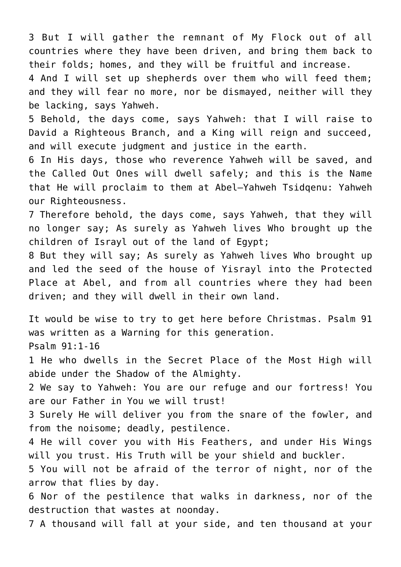3 But I will gather the remnant of My Flock out of all countries where they have been driven, and bring them back to their folds; homes, and they will be fruitful and increase.

4 And I will set up shepherds over them who will feed them; and they will fear no more, nor be dismayed, neither will they be lacking, says Yahweh.

5 Behold, the days come, says Yahweh: that I will raise to David a Righteous Branch, and a King will reign and succeed, and will execute judgment and justice in the earth.

6 In His days, those who reverence Yahweh will be saved, and the Called Out Ones will dwell safely; and this is the Name that He will proclaim to them at Abel–Yahweh Tsidqenu: Yahweh our Righteousness.

7 Therefore behold, the days come, says Yahweh, that they will no longer say; As surely as Yahweh lives Who brought up the children of Israyl out of the land of Egypt;

8 But they will say; As surely as Yahweh lives Who brought up and led the seed of the house of Yisrayl into the Protected Place at Abel, and from all countries where they had been driven; and they will dwell in their own land.

It would be wise to try to get here before Christmas. Psalm 91 was written as a Warning for this generation. Psalm 91:1-16

1 He who dwells in the Secret Place of the Most High will abide under the Shadow of the Almighty.

2 We say to Yahweh: You are our refuge and our fortress! You are our Father in You we will trust!

3 Surely He will deliver you from the snare of the fowler, and from the noisome; deadly, pestilence.

4 He will cover you with His Feathers, and under His Wings will you trust. His Truth will be your shield and buckler.

5 You will not be afraid of the terror of night, nor of the arrow that flies by day.

6 Nor of the pestilence that walks in darkness, nor of the destruction that wastes at noonday.

7 A thousand will fall at your side, and ten thousand at your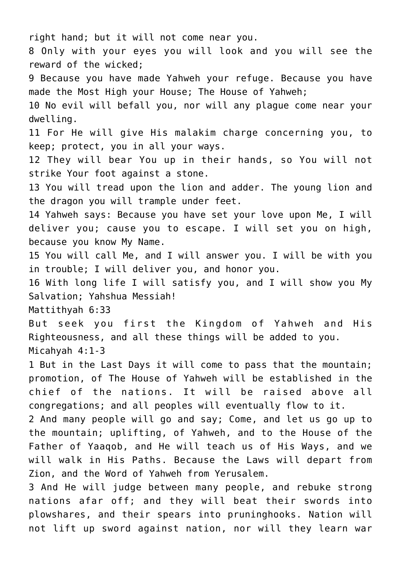right hand; but it will not come near you. 8 Only with your eyes you will look and you will see the reward of the wicked; 9 Because you have made Yahweh your refuge. Because you have made the Most High your House; The House of Yahweh; 10 No evil will befall you, nor will any plague come near your dwelling. 11 For He will give His malakim charge concerning you, to keep; protect, you in all your ways. 12 They will bear You up in their hands, so You will not strike Your foot against a stone. 13 You will tread upon the lion and adder. The young lion and the dragon you will trample under feet. 14 Yahweh says: Because you have set your love upon Me, I will deliver you; cause you to escape. I will set you on high, because you know My Name. 15 You will call Me, and I will answer you. I will be with you in trouble; I will deliver you, and honor you. 16 With long life I will satisfy you, and I will show you My Salvation; Yahshua Messiah! Mattithyah 6:33 But seek you first the Kingdom of Yahweh and His Righteousness, and all these things will be added to you. Micahyah 4:1-3 1 But in the Last Days it will come to pass that the mountain; promotion, of The House of Yahweh will be established in the chief of the nations. It will be raised above all congregations; and all peoples will eventually flow to it. 2 And many people will go and say; Come, and let us go up to the mountain; uplifting, of Yahweh, and to the House of the Father of Yaaqob, and He will teach us of His Ways, and we will walk in His Paths. Because the Laws will depart from Zion, and the Word of Yahweh from Yerusalem. 3 And He will judge between many people, and rebuke strong nations afar off; and they will beat their swords into plowshares, and their spears into pruninghooks. Nation will

not lift up sword against nation, nor will they learn war